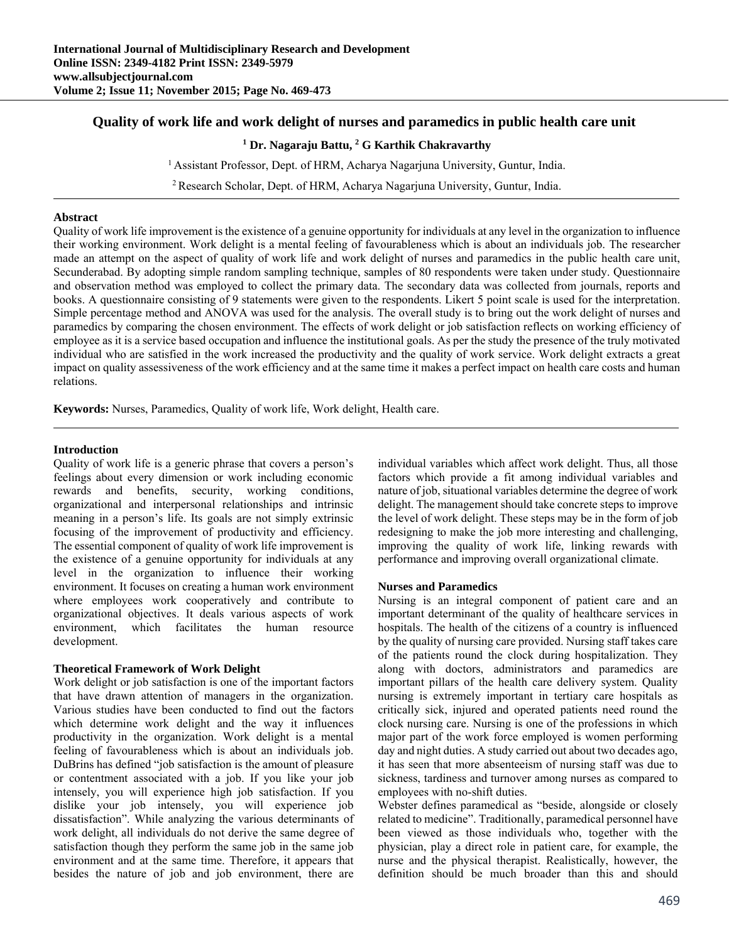# **Quality of work life and work delight of nurses and paramedics in public health care unit**

## <sup>1</sup> Dr. Nagaraju Battu, <sup>2</sup> G Karthik Chakravarthy

<sup>1</sup> Assistant Professor, Dept. of HRM, Acharya Nagarjuna University, Guntur, India.

<sup>2</sup> Research Scholar, Dept. of HRM, Acharya Nagarjuna University, Guntur, India.

#### **Abstract**

Quality of work life improvement is the existence of a genuine opportunity for individuals at any level in the organization to influence their working environment. Work delight is a mental feeling of favourableness which is about an individuals job. The researcher made an attempt on the aspect of quality of work life and work delight of nurses and paramedics in the public health care unit, Secunderabad. By adopting simple random sampling technique, samples of 80 respondents were taken under study. Questionnaire and observation method was employed to collect the primary data. The secondary data was collected from journals, reports and books. A questionnaire consisting of 9 statements were given to the respondents. Likert 5 point scale is used for the interpretation. Simple percentage method and ANOVA was used for the analysis. The overall study is to bring out the work delight of nurses and paramedics by comparing the chosen environment. The effects of work delight or job satisfaction reflects on working efficiency of employee as it is a service based occupation and influence the institutional goals. As per the study the presence of the truly motivated individual who are satisfied in the work increased the productivity and the quality of work service. Work delight extracts a great impact on quality assessiveness of the work efficiency and at the same time it makes a perfect impact on health care costs and human relations.

**Keywords:** Nurses, Paramedics, Quality of work life, Work delight, Health care.

#### **Introduction**

Quality of work life is a generic phrase that covers a person's feelings about every dimension or work including economic rewards and benefits, security, working conditions, organizational and interpersonal relationships and intrinsic meaning in a person's life. Its goals are not simply extrinsic focusing of the improvement of productivity and efficiency. The essential component of quality of work life improvement is the existence of a genuine opportunity for individuals at any level in the organization to influence their working environment. It focuses on creating a human work environment where employees work cooperatively and contribute to organizational objectives. It deals various aspects of work environment, which facilitates the human resource development.

#### **Theoretical Framework of Work Delight**

Work delight or job satisfaction is one of the important factors that have drawn attention of managers in the organization. Various studies have been conducted to find out the factors which determine work delight and the way it influences productivity in the organization. Work delight is a mental feeling of favourableness which is about an individuals job. DuBrins has defined "job satisfaction is the amount of pleasure or contentment associated with a job. If you like your job intensely, you will experience high job satisfaction. If you dislike your job intensely, you will experience job dissatisfaction". While analyzing the various determinants of work delight, all individuals do not derive the same degree of satisfaction though they perform the same job in the same job environment and at the same time. Therefore, it appears that besides the nature of job and job environment, there are

individual variables which affect work delight. Thus, all those factors which provide a fit among individual variables and nature of job, situational variables determine the degree of work delight. The management should take concrete steps to improve the level of work delight. These steps may be in the form of job redesigning to make the job more interesting and challenging, improving the quality of work life, linking rewards with performance and improving overall organizational climate.

#### **Nurses and Paramedics**

Nursing is an integral component of patient care and an important determinant of the quality of healthcare services in hospitals. The health of the citizens of a country is influenced by the quality of nursing care provided. Nursing staff takes care of the patients round the clock during hospitalization. They along with doctors, administrators and paramedics are important pillars of the health care delivery system. Quality nursing is extremely important in tertiary care hospitals as critically sick, injured and operated patients need round the clock nursing care. Nursing is one of the professions in which major part of the work force employed is women performing day and night duties. A study carried out about two decades ago, it has seen that more absenteeism of nursing staff was due to sickness, tardiness and turnover among nurses as compared to employees with no-shift duties.

Webster defines paramedical as "beside, alongside or closely related to medicine". Traditionally, paramedical personnel have been viewed as those individuals who, together with the physician, play a direct role in patient care, for example, the nurse and the physical therapist. Realistically, however, the definition should be much broader than this and should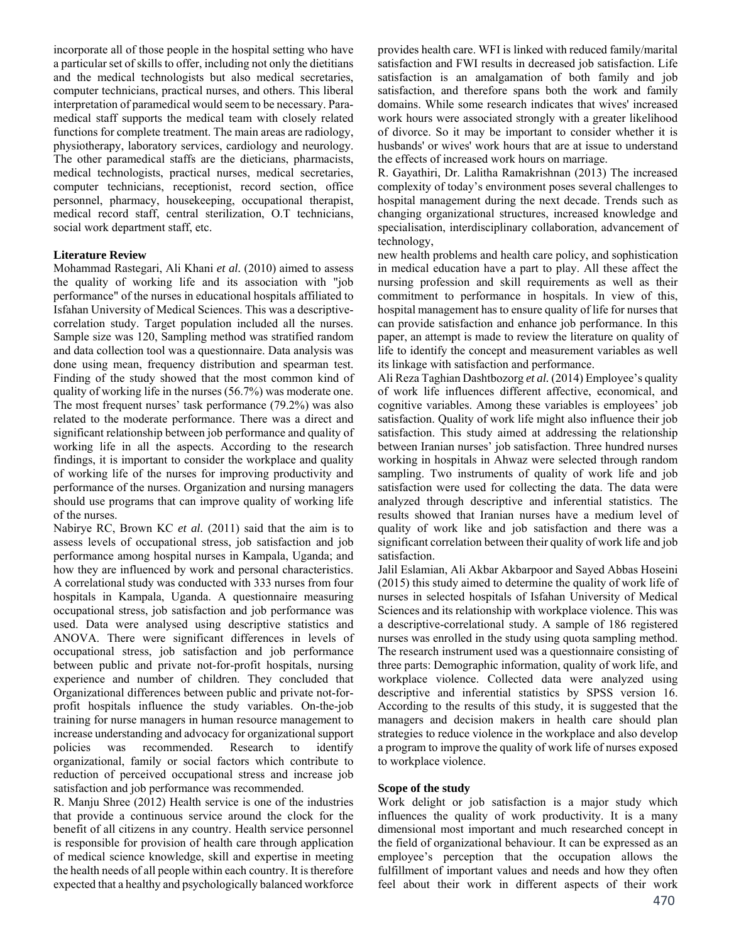incorporate all of those people in the hospital setting who have a particular set of skills to offer, including not only the dietitians and the medical technologists but also medical secretaries, computer technicians, practical nurses, and others. This liberal interpretation of paramedical would seem to be necessary. Paramedical staff supports the medical team with closely related functions for complete treatment. The main areas are radiology, physiotherapy, laboratory services, cardiology and neurology. The other paramedical staffs are the dieticians, pharmacists, medical technologists, practical nurses, medical secretaries, computer technicians, receptionist, record section, office personnel, pharmacy, housekeeping, occupational therapist, medical record staff, central sterilization, O.T technicians, social work department staff, etc.

### **Literature Review**

Mohammad Rastegari, Ali Khani *et al.* (2010) aimed to assess the quality of working life and its association with "job performance" of the nurses in educational hospitals affiliated to Isfahan University of Medical Sciences. This was a descriptivecorrelation study. Target population included all the nurses. Sample size was 120, Sampling method was stratified random and data collection tool was a questionnaire. Data analysis was done using mean, frequency distribution and spearman test. Finding of the study showed that the most common kind of quality of working life in the nurses (56.7%) was moderate one. The most frequent nurses' task performance (79.2%) was also related to the moderate performance. There was a direct and significant relationship between job performance and quality of working life in all the aspects. According to the research findings, it is important to consider the workplace and quality of working life of the nurses for improving productivity and performance of the nurses. Organization and nursing managers should use programs that can improve quality of working life of the nurses.

Nabirye RC, Brown KC *et al.* (2011) said that the aim is to assess levels of occupational stress, job satisfaction and job performance among hospital nurses in Kampala, Uganda; and how they are influenced by work and personal characteristics. A correlational study was conducted with 333 nurses from four hospitals in Kampala, Uganda. A questionnaire measuring occupational stress, job satisfaction and job performance was used. Data were analysed using descriptive statistics and ANOVA. There were significant differences in levels of occupational stress, job satisfaction and job performance between public and private not-for-profit hospitals, nursing experience and number of children. They concluded that Organizational differences between public and private not-forprofit hospitals influence the study variables. On-the-job training for nurse managers in human resource management to increase understanding and advocacy for organizational support policies was recommended. Research to identify organizational, family or social factors which contribute to reduction of perceived occupational stress and increase job satisfaction and job performance was recommended.

R. Manju Shree (2012) Health service is one of the industries that provide a continuous service around the clock for the benefit of all citizens in any country. Health service personnel is responsible for provision of health care through application of medical science knowledge, skill and expertise in meeting the health needs of all people within each country. It is therefore expected that a healthy and psychologically balanced workforce provides health care. WFI is linked with reduced family/marital satisfaction and FWI results in decreased job satisfaction. Life satisfaction is an amalgamation of both family and job satisfaction, and therefore spans both the work and family domains. While some research indicates that wives' increased work hours were associated strongly with a greater likelihood of divorce. So it may be important to consider whether it is husbands' or wives' work hours that are at issue to understand the effects of increased work hours on marriage.

R. Gayathiri, Dr. Lalitha Ramakrishnan (2013) The increased complexity of today's environment poses several challenges to hospital management during the next decade. Trends such as changing organizational structures, increased knowledge and specialisation, interdisciplinary collaboration, advancement of technology,

new health problems and health care policy, and sophistication in medical education have a part to play. All these affect the nursing profession and skill requirements as well as their commitment to performance in hospitals. In view of this, hospital management has to ensure quality of life for nurses that can provide satisfaction and enhance job performance. In this paper, an attempt is made to review the literature on quality of life to identify the concept and measurement variables as well its linkage with satisfaction and performance.

Ali Reza Taghian Dashtbozorg *et al.* (2014) Employee's quality of work life influences different affective, economical, and cognitive variables. Among these variables is employees' job satisfaction. Quality of work life might also influence their job satisfaction. This study aimed at addressing the relationship between Iranian nurses' job satisfaction. Three hundred nurses working in hospitals in Ahwaz were selected through random sampling. Two instruments of quality of work life and job satisfaction were used for collecting the data. The data were analyzed through descriptive and inferential statistics. The results showed that Iranian nurses have a medium level of quality of work like and job satisfaction and there was a significant correlation between their quality of work life and job satisfaction.

Jalil Eslamian, Ali Akbar Akbarpoor and Sayed Abbas Hoseini (2015) this study aimed to determine the quality of work life of nurses in selected hospitals of Isfahan University of Medical Sciences and its relationship with workplace violence. This was a descriptive-correlational study. A sample of 186 registered nurses was enrolled in the study using quota sampling method. The research instrument used was a questionnaire consisting of three parts: Demographic information, quality of work life, and workplace violence. Collected data were analyzed using descriptive and inferential statistics by SPSS version 16. According to the results of this study, it is suggested that the managers and decision makers in health care should plan strategies to reduce violence in the workplace and also develop a program to improve the quality of work life of nurses exposed to workplace violence.

#### **Scope of the study**

Work delight or job satisfaction is a major study which influences the quality of work productivity. It is a many dimensional most important and much researched concept in the field of organizational behaviour. It can be expressed as an employee's perception that the occupation allows the fulfillment of important values and needs and how they often feel about their work in different aspects of their work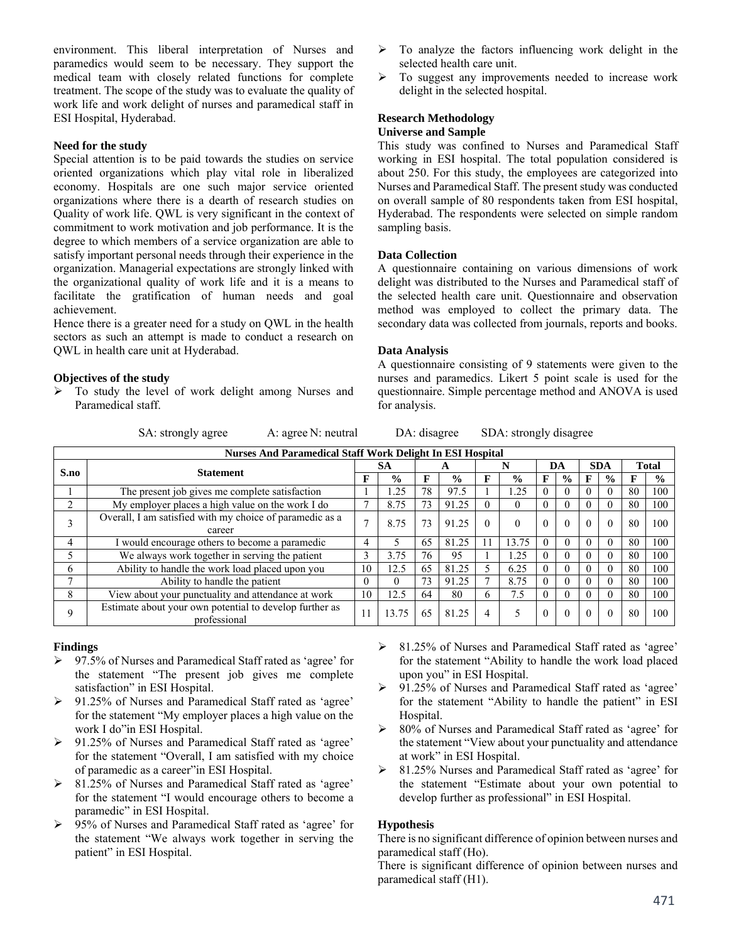environment. This liberal interpretation of Nurses and paramedics would seem to be necessary. They support the medical team with closely related functions for complete treatment. The scope of the study was to evaluate the quality of work life and work delight of nurses and paramedical staff in ESI Hospital, Hyderabad.

### **Need for the study**

Special attention is to be paid towards the studies on service oriented organizations which play vital role in liberalized economy. Hospitals are one such major service oriented organizations where there is a dearth of research studies on Quality of work life. QWL is very significant in the context of commitment to work motivation and job performance. It is the degree to which members of a service organization are able to satisfy important personal needs through their experience in the organization. Managerial expectations are strongly linked with the organizational quality of work life and it is a means to facilitate the gratification of human needs and goal achievement.

Hence there is a greater need for a study on QWL in the health sectors as such an attempt is made to conduct a research on QWL in health care unit at Hyderabad.

### **Objectives of the study**

> To study the level of work delight among Nurses and Paramedical staff.

SA: strongly agree A: agree N: neutral DA: disagree SDA: strongly disagree

| <b>Nurses And Paramedical Staff Work Delight In ESI Hospital</b> |                                                                         |          |               |    |               |          |               |          |               |            |               |              |               |
|------------------------------------------------------------------|-------------------------------------------------------------------------|----------|---------------|----|---------------|----------|---------------|----------|---------------|------------|---------------|--------------|---------------|
| S.no                                                             | <b>Statement</b>                                                        | SА       |               |    |               | N        |               | DA       |               | <b>SDA</b> |               | <b>Total</b> |               |
|                                                                  |                                                                         |          | $\frac{0}{0}$ |    | $\frac{0}{0}$ | F        | $\frac{0}{0}$ | Е        | $\frac{6}{6}$ | F          | $\frac{0}{0}$ | F            | $\frac{0}{0}$ |
|                                                                  | The present job gives me complete satisfaction                          |          | .25           | 78 | 97.5          |          | .25           | $\theta$ |               | $\Omega$   |               | 80           | 100           |
|                                                                  | My employer places a high value on the work I do                        |          | 8.75          |    | 91.25         | $\theta$ | 0             |          |               | 0          |               | 80           | 100           |
|                                                                  | Overall, I am satisfied with my choice of paramedic as a<br>career      |          | 8.75          | 73 | 91.25         | $\theta$ | $\theta$      | $\theta$ | $\Omega$      | $\theta$   |               | 80           | 100           |
| 4                                                                | I would encourage others to become a paramedic                          | 4        |               | 65 | 81.25         |          | 13.75         | $\Omega$ | $\Omega$      | $\Omega$   |               | 80           | 100           |
|                                                                  | We always work together in serving the patient                          |          | 3.75          | 76 | 95            |          | 1.25          |          |               | $\Omega$   |               | 80           | 100           |
| 6                                                                | Ability to handle the work load placed upon you                         | 10       | 12.5          | 65 | 81.25         |          | 6.25          | $\Omega$ | $\Omega$      | $\Omega$   |               | 80           | 100           |
|                                                                  | Ability to handle the patient                                           | $\theta$ |               | 73 | 91.25         |          | 8.75          |          |               | $\Omega$   |               | 80           | 100           |
| 8                                                                | View about your punctuality and attendance at work                      | 10       | 12.5          | 64 | 80            | 6        | 7.5           |          |               | $\Omega$   |               | 80           | 100           |
|                                                                  | Estimate about your own potential to develop further as<br>professional | 11       | 13.75         | 65 | 81.25         | 4        |               | $\theta$ | $\Omega$      | $\theta$   |               | 80           | 100           |

# **Findings**

- 97.5% of Nurses and Paramedical Staff rated as 'agree' for the statement "The present job gives me complete satisfaction" in ESI Hospital.
- 91.25% of Nurses and Paramedical Staff rated as 'agree' for the statement "My employer places a high value on the work I do"in ESI Hospital.
- 91.25% of Nurses and Paramedical Staff rated as 'agree' for the statement "Overall, I am satisfied with my choice of paramedic as a career"in ESI Hospital.
- 81.25% of Nurses and Paramedical Staff rated as 'agree' for the statement "I would encourage others to become a paramedic" in ESI Hospital.
- 95% of Nurses and Paramedical Staff rated as 'agree' for the statement "We always work together in serving the patient" in ESI Hospital.
- 81.25% of Nurses and Paramedical Staff rated as 'agree' for the statement "Ability to handle the work load placed upon you" in ESI Hospital.
- 91.25% of Nurses and Paramedical Staff rated as 'agree' for the statement "Ability to handle the patient" in ESI Hospital.
- 80% of Nurses and Paramedical Staff rated as 'agree' for the statement "View about your punctuality and attendance at work" in ESI Hospital.
- 81.25% Nurses and Paramedical Staff rated as 'agree' for the statement "Estimate about your own potential to develop further as professional" in ESI Hospital.

# **Hypothesis**

There is no significant difference of opinion between nurses and paramedical staff (Ho).

There is significant difference of opinion between nurses and paramedical staff (H1).

- $\triangleright$  To analyze the factors influencing work delight in the selected health care unit.
- > To suggest any improvements needed to increase work delight in the selected hospital.

# **Research Methodology**

# **Universe and Sample**

This study was confined to Nurses and Paramedical Staff working in ESI hospital. The total population considered is about 250. For this study, the employees are categorized into Nurses and Paramedical Staff. The present study was conducted on overall sample of 80 respondents taken from ESI hospital, Hyderabad. The respondents were selected on simple random sampling basis.

# **Data Collection**

**Data Analysis** 

for analysis.

A questionnaire containing on various dimensions of work delight was distributed to the Nurses and Paramedical staff of the selected health care unit. Questionnaire and observation method was employed to collect the primary data. The secondary data was collected from journals, reports and books.

A questionnaire consisting of 9 statements were given to the nurses and paramedics. Likert 5 point scale is used for the questionnaire. Simple percentage method and ANOVA is used

471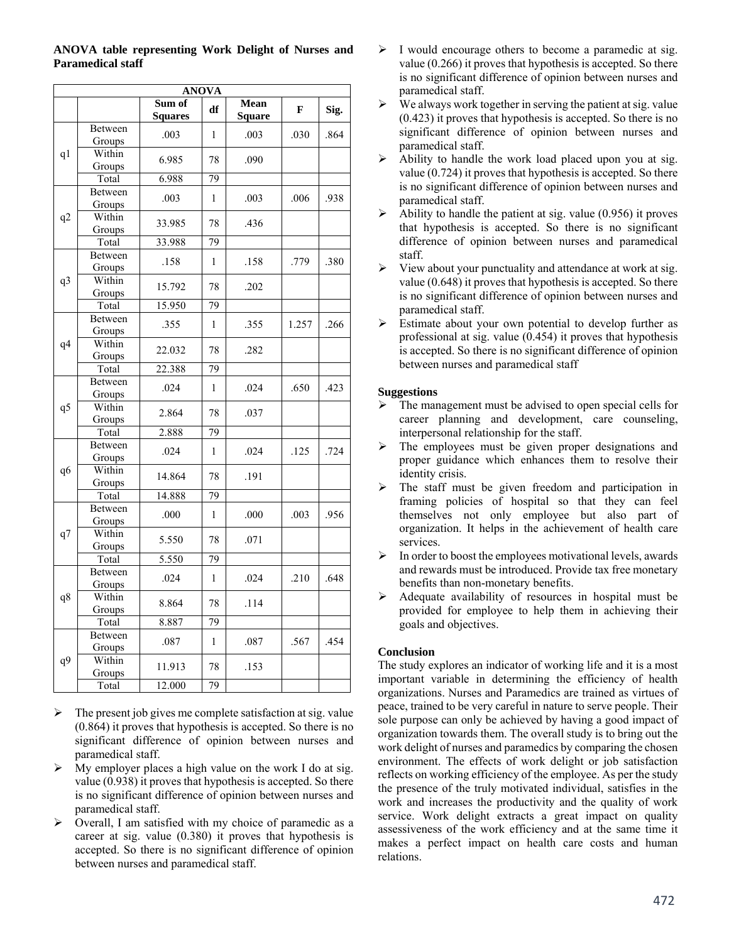| <b>ANOVA</b>   |                          |                          |                 |                       |       |      |  |  |  |  |
|----------------|--------------------------|--------------------------|-----------------|-----------------------|-------|------|--|--|--|--|
|                |                          | Sum of<br><b>Squares</b> | df              | Mean<br><b>Square</b> | F     | Sig. |  |  |  |  |
|                | Between<br>Groups        | .003                     | 1               | .003                  | .030  | .864 |  |  |  |  |
| q1             | Within<br>Groups         | 6.985                    | 78              | .090                  |       |      |  |  |  |  |
|                | Total                    | 6.988                    | 79              |                       |       |      |  |  |  |  |
|                | Between<br>Groups        | .003                     | 1               | .003                  | .006  | .938 |  |  |  |  |
| q2             | Within<br>Groups         | 33.985                   | 78              | .436                  |       |      |  |  |  |  |
|                | Total                    | 33.988                   | 79              |                       |       |      |  |  |  |  |
|                | Between<br>Groups        | .158                     | 1               | .158                  | .779  | .380 |  |  |  |  |
| q3             | Within<br>Groups         | 15.792                   | 78              | .202                  |       |      |  |  |  |  |
|                | Total                    | 15.950                   | 79              |                       |       |      |  |  |  |  |
|                | Between<br>Groups        | .355                     | 1               | .355                  | 1.257 | .266 |  |  |  |  |
| q4             | Within<br>Groups         | 22.032                   | 78              | .282                  |       |      |  |  |  |  |
|                | Total                    | 22.388                   | 79              |                       |       |      |  |  |  |  |
|                | Between<br>Groups        | .024                     | 1               | .024                  | .650  | .423 |  |  |  |  |
| q <sub>5</sub> | Within<br>Groups         | 2.864                    | 78              | .037                  |       |      |  |  |  |  |
|                | Total                    | 2.888                    | 79              |                       |       |      |  |  |  |  |
|                | Between<br>Groups        | .024                     | 1               | .024                  | .125  | .724 |  |  |  |  |
| q6             | Within<br>Groups         | 14.864                   | 78              | .191                  |       |      |  |  |  |  |
|                | Total                    | 14.888                   | $\overline{79}$ |                       |       |      |  |  |  |  |
|                | Between<br>Groups        | .000                     | 1               | .000                  | .003  | .956 |  |  |  |  |
| q7             | Within<br>Groups         | 5.550                    | 78              | .071                  |       |      |  |  |  |  |
|                | Total                    | 5.550                    | $\overline{79}$ |                       |       |      |  |  |  |  |
|                | <b>Between</b><br>Groups | .024                     | $\mathbf{1}$    | .024                  | .210  | .648 |  |  |  |  |
| q8             | Within<br>Groups         | 8.864                    | 78              | .114                  |       |      |  |  |  |  |
|                | Total                    | 8.887                    | 79              |                       |       |      |  |  |  |  |
|                | <b>Between</b><br>Groups | .087                     | 1               | .087                  | .567  | .454 |  |  |  |  |
| q9             | Within<br>Groups         | 11.913                   | 78              | .153                  |       |      |  |  |  |  |
|                | Total                    | 12.000                   | 79              |                       |       |      |  |  |  |  |

# **ANOVA table representing Work Delight of Nurses and Paramedical staff**

- $\triangleright$  The present job gives me complete satisfaction at sig. value (0.864) it proves that hypothesis is accepted. So there is no significant difference of opinion between nurses and paramedical staff.
- $\triangleright$  My employer places a high value on the work I do at sig. value (0.938) it proves that hypothesis is accepted. So there is no significant difference of opinion between nurses and paramedical staff.
- $\triangleright$  Overall, I am satisfied with my choice of paramedic as a career at sig. value (0.380) it proves that hypothesis is accepted. So there is no significant difference of opinion between nurses and paramedical staff.
- $\triangleright$  I would encourage others to become a paramedic at sig. value (0.266) it proves that hypothesis is accepted. So there is no significant difference of opinion between nurses and paramedical staff.
- $\triangleright$  We always work together in serving the patient at sig. value (0.423) it proves that hypothesis is accepted. So there is no significant difference of opinion between nurses and paramedical staff.
- $\triangleright$  Ability to handle the work load placed upon you at sig. value (0.724) it proves that hypothesis is accepted. So there is no significant difference of opinion between nurses and paramedical staff.
- $\blacktriangleright$  Ability to handle the patient at sig. value (0.956) it proves that hypothesis is accepted. So there is no significant difference of opinion between nurses and paramedical staff.
- $\triangleright$  View about your punctuality and attendance at work at sig. value (0.648) it proves that hypothesis is accepted. So there is no significant difference of opinion between nurses and paramedical staff.
- $\triangleright$  Estimate about your own potential to develop further as professional at sig. value (0.454) it proves that hypothesis is accepted. So there is no significant difference of opinion between nurses and paramedical staff

# **Suggestions**

- The management must be advised to open special cells for career planning and development, care counseling, interpersonal relationship for the staff.
- $\triangleright$  The employees must be given proper designations and proper guidance which enhances them to resolve their identity crisis.
- $\triangleright$  The staff must be given freedom and participation in framing policies of hospital so that they can feel themselves not only employee but also part of organization. It helps in the achievement of health care services.
- $\triangleright$  In order to boost the employees motivational levels, awards and rewards must be introduced. Provide tax free monetary benefits than non-monetary benefits.
- $\triangleright$  Adequate availability of resources in hospital must be provided for employee to help them in achieving their goals and objectives.

# **Conclusion**

The study explores an indicator of working life and it is a most important variable in determining the efficiency of health organizations. Nurses and Paramedics are trained as virtues of peace, trained to be very careful in nature to serve people. Their sole purpose can only be achieved by having a good impact of organization towards them. The overall study is to bring out the work delight of nurses and paramedics by comparing the chosen environment. The effects of work delight or job satisfaction reflects on working efficiency of the employee. As per the study the presence of the truly motivated individual, satisfies in the work and increases the productivity and the quality of work service. Work delight extracts a great impact on quality assessiveness of the work efficiency and at the same time it makes a perfect impact on health care costs and human relations.